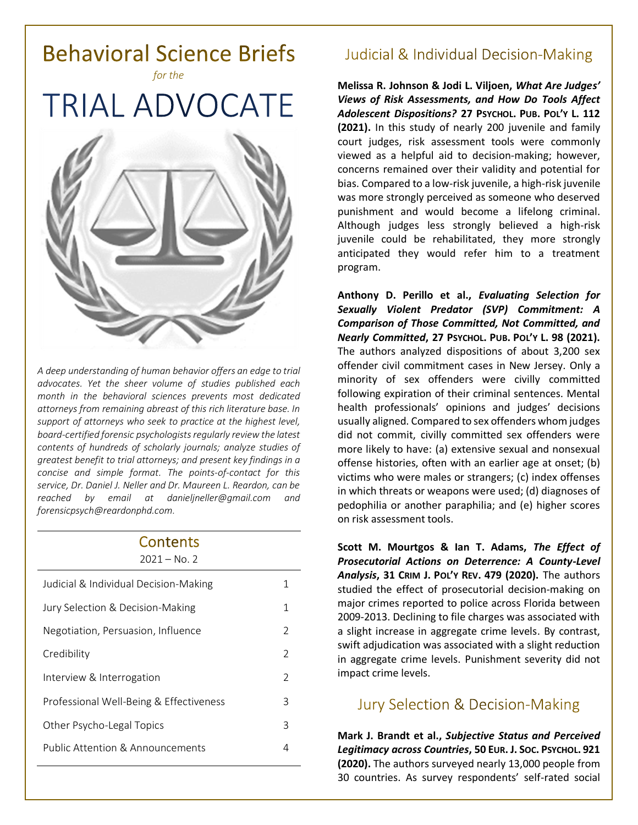

*A deep understanding of human behavior offers an edge to trial advocates. Yet the sheer volume of studies published each month in the behavioral sciences prevents most dedicated attorneys from remaining abreast of this rich literature base. In support of attorneys who seek to practice at the highest level, board-certified forensic psychologists regularly review the latest contents of hundreds of scholarly journals; analyze studies of greatest benefit to trial attorneys; and present key findings in a concise and simple format. The points-of-contact for this service, Dr. Daniel J. Neller and Dr. Maureen L. Reardon, can be reached by email at [danieljneller@gmail.com](mailto:danieljneller@gmail.com) and [forensicpsych@reardonphd.com.](mailto:forensicpsych@reardonphd.com)* 

#### Contents  $2021 - N_0$  2

| ᅩᇰᄼᅩ                                        |                |
|---------------------------------------------|----------------|
| Judicial & Individual Decision-Making       | 1              |
| Jury Selection & Decision-Making            | 1              |
| Negotiation, Persuasion, Influence          | 2              |
| Credibility                                 | 2              |
| Interview & Interrogation                   | $\overline{2}$ |
| Professional Well-Being & Effectiveness     | 3              |
| Other Psycho-Legal Topics                   | 3              |
| <b>Public Attention &amp; Announcements</b> | 4              |
|                                             |                |

# **Judicial & Individual Decision-Making**

**Melissa R. Johnson & Jodi L. Viljoen,** *What Are Judges' Views of Risk Assessments, and How Do Tools Affect Adolescent Dispositions?* **27 PSYCHOL. PUB. POL'Y L. 112 (2021).** In this study of nearly 200 juvenile and family court judges, risk assessment tools were commonly viewed as a helpful aid to decision-making; however, concerns remained over their validity and potential for bias. Compared to a low-risk juvenile, a high-risk juvenile was more strongly perceived as someone who deserved punishment and would become a lifelong criminal. Although judges less strongly believed a high-risk juvenile could be rehabilitated, they more strongly anticipated they would refer him to a treatment program.

**Anthony D. Perillo et al.,** *Evaluating Selection for Sexually Violent Predator (SVP) Commitment: A Comparison of Those Committed, Not Committed, and Nearly Committed***, 27 PSYCHOL. PUB. POL'Y L. 98 (2021).** The authors analyzed dispositions of about 3,200 sex offender civil commitment cases in New Jersey. Only a minority of sex offenders were civilly committed following expiration of their criminal sentences. Mental health professionals' opinions and judges' decisions usually aligned. Compared to sex offenders whom judges did not commit, civilly committed sex offenders were more likely to have: (a) extensive sexual and nonsexual offense histories, often with an earlier age at onset; (b) victims who were males or strangers; (c) index offenses in which threats or weapons were used; (d) diagnoses of pedophilia or another paraphilia; and (e) higher scores on risk assessment tools.

**Scott M. Mourtgos & Ian T. Adams,** *The Effect of Prosecutorial Actions on Deterrence: A County-Level Analysis***, 31 CRIM J. POL'Y REV. 479 (2020).** The authors studied the effect of prosecutorial decision-making on major crimes reported to police across Florida between 2009-2013. Declining to file charges was associated with a slight increase in aggregate crime levels. By contrast, swift adjudication was associated with a slight reduction in aggregate crime levels. Punishment severity did not impact crime levels.

# **Jury Selection & Decision-Making**

**Mark J. Brandt et al.,** *Subjective Status and Perceived Legitimacy across Countries***, 50 EUR. J. SOC. PSYCHOL. 921 (2020).** The authors surveyed nearly 13,000 people from 30 countries. As survey respondents' self-rated social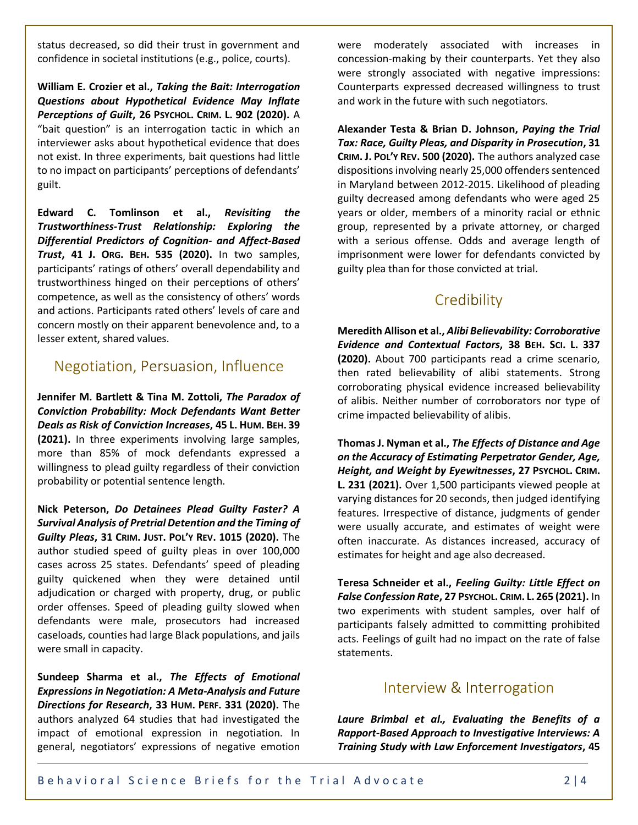status decreased, so did their trust in government and confidence in societal institutions (e.g., police, courts).

**William E. Crozier et al.,** *Taking the Bait: Interrogation Questions about Hypothetical Evidence May Inflate Perceptions of Guilt***, 26 PSYCHOL. CRIM. L. 902 (2020).** A "bait question" is an interrogation tactic in which an interviewer asks about hypothetical evidence that does not exist. In three experiments, bait questions had little to no impact on participants' perceptions of defendants' guilt.

**Edward C. Tomlinson et al.,** *Revisiting the Trustworthiness-Trust Relationship: Exploring the Differential Predictors of Cognition- and Affect-Based Trust***, 41 J. ORG. BEH. 535 (2020).** In two samples, participants' ratings of others' overall dependability and trustworthiness hinged on their perceptions of others' competence, as well as the consistency of others' words and actions. Participants rated others' levels of care and concern mostly on their apparent benevolence and, to a lesser extent, shared values.

### Negotiation, Persuasion, Influence

**Jennifer M. Bartlett & Tina M. Zottoli,** *The Paradox of Conviction Probability: Mock Defendants Want Better Deals as Risk of Conviction Increases***, 45 L. HUM. BEH. 39 (2021).** In three experiments involving large samples, more than 85% of mock defendants expressed a willingness to plead guilty regardless of their conviction probability or potential sentence length.

**Nick Peterson,** *Do Detainees Plead Guilty Faster? A Survival Analysis of Pretrial Detention and the Timing of Guilty Pleas***, 31 CRIM. JUST. POL'Y REV. 1015 (2020).** The author studied speed of guilty pleas in over 100,000 cases across 25 states. Defendants' speed of pleading guilty quickened when they were detained until adjudication or charged with property, drug, or public order offenses. Speed of pleading guilty slowed when defendants were male, prosecutors had increased caseloads, counties had large Black populations, and jails were small in capacity.

**Sundeep Sharma et al.,** *The Effects of Emotional Expressions in Negotiation: A Meta-Analysis and Future Directions for Research***, 33 HUM. PERF. 331 (2020).** The authors analyzed 64 studies that had investigated the impact of emotional expression in negotiation. In general, negotiators' expressions of negative emotion

were moderately associated with increases in concession-making by their counterparts. Yet they also were strongly associated with negative impressions: Counterparts expressed decreased willingness to trust and work in the future with such negotiators.

**Alexander Testa & Brian D. Johnson,** *Paying the Trial Tax: Race, Guilty Pleas, and Disparity in Prosecution***, 31 CRIM. J. POL'Y REV. 500 (2020).** The authors analyzed case dispositions involving nearly 25,000 offenders sentenced in Maryland between 2012-2015. Likelihood of pleading guilty decreased among defendants who were aged 25 years or older, members of a minority racial or ethnic group, represented by a private attorney, or charged with a serious offense. Odds and average length of imprisonment were lower for defendants convicted by guilty plea than for those convicted at trial.

### Credibility

**Meredith Allison et al.,** *Alibi Believability: Corroborative Evidence and Contextual Factors***, 38 BEH. SCI. L. 337 (2020).** About 700 participants read a crime scenario, then rated believability of alibi statements. Strong corroborating physical evidence increased believability of alibis. Neither number of corroborators nor type of crime impacted believability of alibis.

**Thomas J. Nyman et al.,** *The Effects of Distance and Age on the Accuracy of Estimating Perpetrator Gender, Age, Height, and Weight by Eyewitnesses***, 27 PSYCHOL. CRIM. L. 231 (2021).** Over 1,500 participants viewed people at varying distances for 20 seconds, then judged identifying features. Irrespective of distance, judgments of gender were usually accurate, and estimates of weight were often inaccurate. As distances increased, accuracy of estimates for height and age also decreased.

**Teresa Schneider et al.,** *Feeling Guilty: Little Effect on False Confession Rate***, 27 PSYCHOL. CRIM. L. 265 (2021).** In two experiments with student samples, over half of participants falsely admitted to committing prohibited acts. Feelings of guilt had no impact on the rate of false statements.

#### Interview & Interrogation

*Laure Brimbal et al., Evaluating the Benefits of a Rapport-Based Approach to Investigative Interviews: A Training Study with Law Enforcement Investigators***, 45**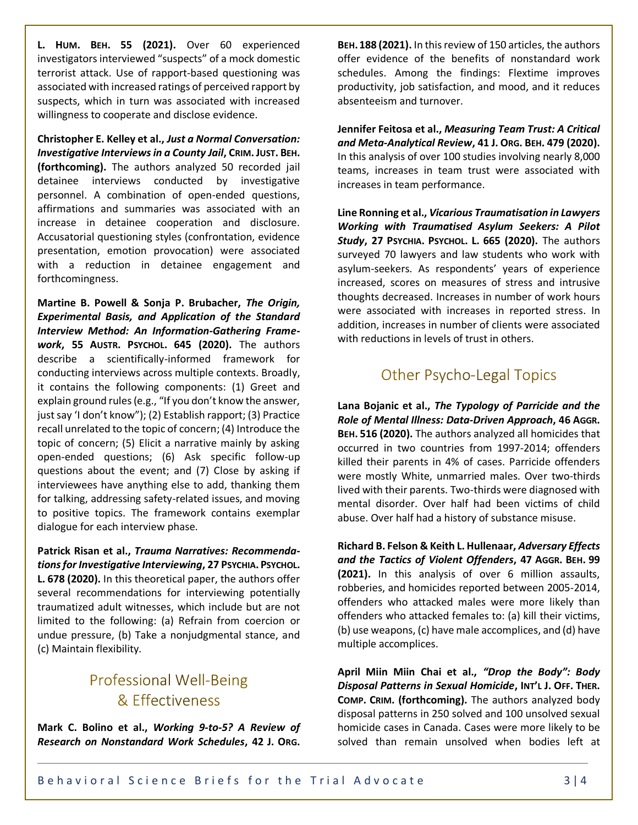**L. HUM. BEH. 55 (2021).** Over 60 experienced investigators interviewed "suspects" of a mock domestic terrorist attack. Use of rapport-based questioning was associated with increased ratings of perceived rapport by suspects, which in turn was associated with increased willingness to cooperate and disclose evidence.

**Christopher E. Kelley et al.,** *Just a Normal Conversation: Investigative Interviews in a County Jail***, CRIM. JUST. BEH. (forthcoming).** The authors analyzed 50 recorded jail detainee interviews conducted by investigative personnel. A combination of open-ended questions, affirmations and summaries was associated with an increase in detainee cooperation and disclosure. Accusatorial questioning styles (confrontation, evidence presentation, emotion provocation) were associated with a reduction in detainee engagement and forthcomingness.

**Martine B. Powell & Sonja P. Brubacher,** *The Origin, Experimental Basis, and Application of the Standard Interview Method: An Information-Gathering Framework***, 55 AUSTR. PSYCHOL. 645 (2020).** The authors describe a scientifically-informed framework for conducting interviews across multiple contexts. Broadly, it contains the following components: (1) Greet and explain ground rules (e.g., "If you don't know the answer, just say 'I don't know"); (2) Establish rapport; (3) Practice recall unrelated to the topic of concern; (4) Introduce the topic of concern; (5) Elicit a narrative mainly by asking open-ended questions; (6) Ask specific follow-up questions about the event; and (7) Close by asking if interviewees have anything else to add, thanking them for talking, addressing safety-related issues, and moving to positive topics. The framework contains exemplar dialogue for each interview phase.

**Patrick Risan et al.,** *Trauma Narratives: Recommendations for Investigative Interviewing***, 27 PSYCHIA. PSYCHOL. L. 678 (2020).** In this theoretical paper, the authors offer several recommendations for interviewing potentially traumatized adult witnesses, which include but are not limited to the following: (a) Refrain from coercion or undue pressure, (b) Take a nonjudgmental stance, and (c) Maintain flexibility.

# **Professional Well-Being** & Effectiveness

**Mark C. Bolino et al.,** *Working 9-to-5? A Review of Research on Nonstandard Work Schedules***, 42 J. ORG.**

**BEH.188 (2021).** In this review of 150 articles, the authors offer evidence of the benefits of nonstandard work schedules. Among the findings: Flextime improves productivity, job satisfaction, and mood, and it reduces absenteeism and turnover.

**Jennifer Feitosa et al.,** *Measuring Team Trust: A Critical and Meta-Analytical Review***, 41 J. ORG. BEH. 479 (2020).** In this analysis of over 100 studies involving nearly 8,000 teams, increases in team trust were associated with increases in team performance.

**Line Ronning et al.,** *Vicarious Traumatisation in Lawyers Working with Traumatised Asylum Seekers: A Pilot Study***, 27 PSYCHIA. PSYCHOL. L. 665 (2020).** The authors surveyed 70 lawyers and law students who work with asylum-seekers. As respondents' years of experience increased, scores on measures of stress and intrusive thoughts decreased. Increases in number of work hours were associated with increases in reported stress. In addition, increases in number of clients were associated with reductions in levels of trust in others.

# **Other Psycho-Legal Topics**

**Lana Bojanic et al.,** *The Typology of Parricide and the Role of Mental Illness: Data-Driven Approach***, 46 AGGR. BEH. 516 (2020).** The authors analyzed all homicides that occurred in two countries from 1997-2014; offenders killed their parents in 4% of cases. Parricide offenders were mostly White, unmarried males. Over two-thirds lived with their parents. Two-thirds were diagnosed with mental disorder. Over half had been victims of child abuse. Over half had a history of substance misuse.

**Richard B. Felson & Keith L. Hullenaar,** *Adversary Effects and the Tactics of Violent Offenders***, 47 AGGR. BEH. 99 (2021).** In this analysis of over 6 million assaults, robberies, and homicides reported between 2005-2014, offenders who attacked males were more likely than offenders who attacked females to: (a) kill their victims, (b) use weapons, (c) have male accomplices, and (d) have multiple accomplices.

**April Miin Miin Chai et al.,** *"Drop the Body": Body Disposal Patterns in Sexual Homicide***, INT'L J. OFF. THER. COMP. CRIM. (forthcoming).** The authors analyzed body disposal patterns in 250 solved and 100 unsolved sexual homicide cases in Canada. Cases were more likely to be solved than remain unsolved when bodies left at